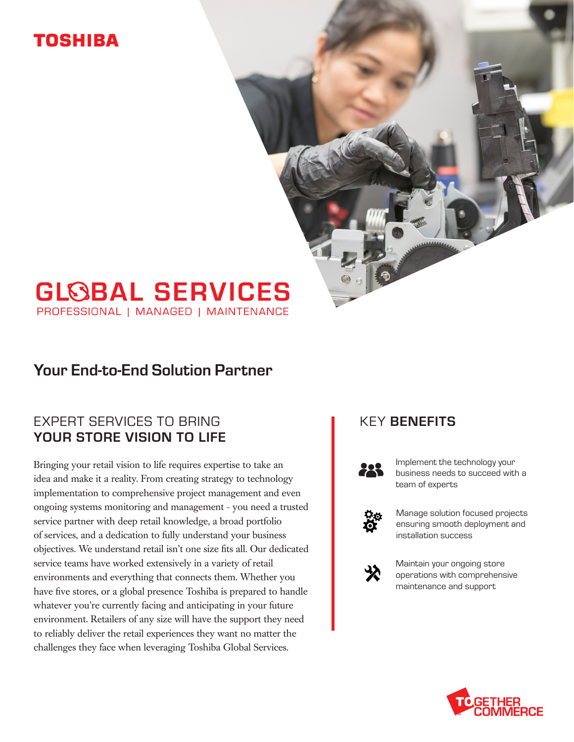# TOSHIBA

# **GLOBAL SERVICES**

PROFESSIONAL | MANAGED | MAINTENANCE

### Your End-to-End Solution Partner

### EXPERT SERVICES TO BRING YOUR STORE VISION TO LIFE

Bringing your retail vision to life requires expertise to take an idea and make it a reality. From creating strategy to technology implementation to comprehensive project management and even ongoing systems monitoring and management - you need a trusted service partner with deep retail knowledge, a broad portfolio of services, and a dedication to fully understand your business objectives. We understand retail isn't one size fits all. Our dedicated service teams have worked extensively in a variety of retail environments and everything that connects them. Whether you have five stores, or a global presence Toshiba is prepared to handle whatever you're currently facing and anticipating in your future environment. Retailers of any size will have the support they need to reliably deliver the retail experiences they want no matter the challenges they face when leveraging Toshiba Global Services.

### KEY BENEFITS



Implement the technology your business needs to succeed with a team of experts



Manage solution focused projects ensuring smooth deployment and installation success



Maintain your ongoing store operations with comprehensive maintenance and support